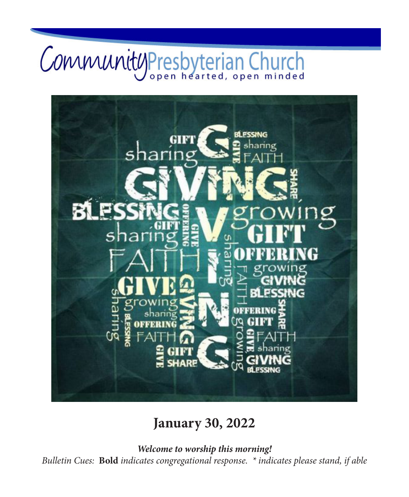# CommunityPresbyterian Church



## **January 30, 2022**

*Welcome to worship this morning! Bulletin Cues:* **Bold** *indicates congregational response. \* indicates please stand, if able*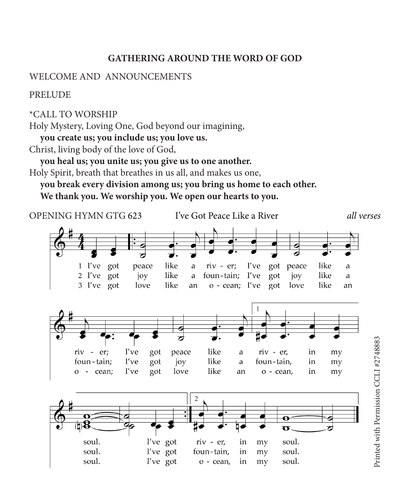### **GATHERING AROUND THE WORD OF GOD**

#### WELCOME AND ANNOUNCEMENTS

PRELUDE

\*CALL TO WORSHIP

Holy Mystery, Loving One, God beyond our imagining,

**you create us; you include us; you love us.**

Christ, living body of the love of God,

**you heal us; you unite us; you give us to one another.**

Holy Spirit, breath that breathes in us all, and makes us one,

**you break every division among us; you bring us home to each other. We thank you. We worship you. We open our hearts to you.**

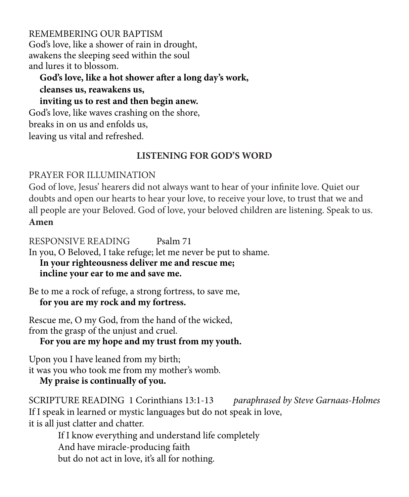REMEMBERING OUR BAPTISM God's love, like a shower of rain in drought, awakens the sleeping seed within the soul and lures it to blossom.

**God's love, like a hot shower after a long day's work, cleanses us, reawakens us,**

**inviting us to rest and then begin anew.**

God's love, like waves crashing on the shore,

breaks in on us and enfolds us,

leaving us vital and refreshed.

### **LISTENING FOR GOD'S WORD**

PRAYER FOR ILLUMINATION

God of love, Jesus' hearers did not always want to hear of your infinite love. Quiet our doubts and open our hearts to hear your love, to receive your love, to trust that we and all people are your Beloved. God of love, your beloved children are listening. Speak to us. **Amen**

RESPONSIVE READING Psalm 71

In you, O Beloved, I take refuge; let me never be put to shame.

**In your righteousness deliver me and rescue me; incline your ear to me and save me.**

Be to me a rock of refuge, a strong fortress, to save me, **for you are my rock and my fortress.**

Rescue me, O my God, from the hand of the wicked, from the grasp of the unjust and cruel.

**For you are my hope and my trust from my youth.**

Upon you I have leaned from my birth; it was you who took me from my mother's womb.

**My praise is continually of you.**

SCRIPTURE READING 1 Corinthians 13:1-13 *paraphrased by Steve Garnaas-Holmes* If I speak in learned or mystic languages but do not speak in love, it is all just clatter and chatter.

If I know everything and understand life completely And have miracle-producing faith but do not act in love, it's all for nothing.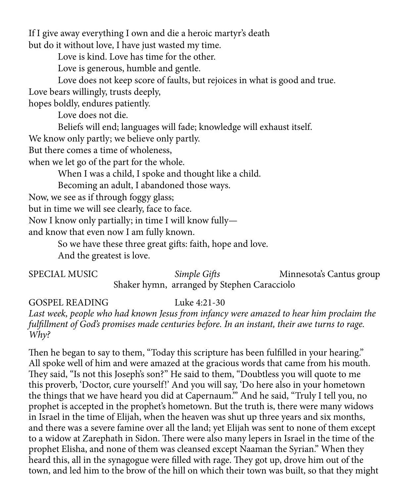If I give away everything I own and die a heroic martyr's death but do it without love, I have just wasted my time.

Love is kind. Love has time for the other.

Love is generous, humble and gentle.

Love does not keep score of faults, but rejoices in what is good and true.

Love bears willingly, trusts deeply,

hopes boldly, endures patiently.

Love does not die.

Beliefs will end; languages will fade; knowledge will exhaust itself.

We know only partly; we believe only partly.

But there comes a time of wholeness,

when we let go of the part for the whole.

When I was a child, I spoke and thought like a child.

Becoming an adult, I abandoned those ways.

Now, we see as if through foggy glass;

but in time we will see clearly, face to face.

Now I know only partially; in time I will know fully—

and know that even now I am fully known.

So we have these three great gifts: faith, hope and love.

And the greatest is love.

**SPECIAL MUSIC** *Simple Gifts* Minnesota's Cantus group Shaker hymn, arranged by Stephen Caracciolo

GOSPEL READING Luke 4:21-30

*Last week, people who had known Jesus from infancy were amazed to hear him proclaim the fulfillment of God's promises made centuries before. In an instant, their awe turns to rage. Why?*

Then he began to say to them, "Today this scripture has been fulfilled in your hearing." All spoke well of him and were amazed at the gracious words that came from his mouth. They said, "Is not this Joseph's son?" He said to them, "Doubtless you will quote to me this proverb, 'Doctor, cure yourself!' And you will say, 'Do here also in your hometown the things that we have heard you did at Capernaum.'" And he said, "Truly I tell you, no prophet is accepted in the prophet's hometown. But the truth is, there were many widows in Israel in the time of Elijah, when the heaven was shut up three years and six months, and there was a severe famine over all the land; yet Elijah was sent to none of them except to a widow at Zarephath in Sidon. There were also many lepers in Israel in the time of the prophet Elisha, and none of them was cleansed except Naaman the Syrian." When they heard this, all in the synagogue were filled with rage. They got up, drove him out of the town, and led him to the brow of the hill on which their town was built, so that they might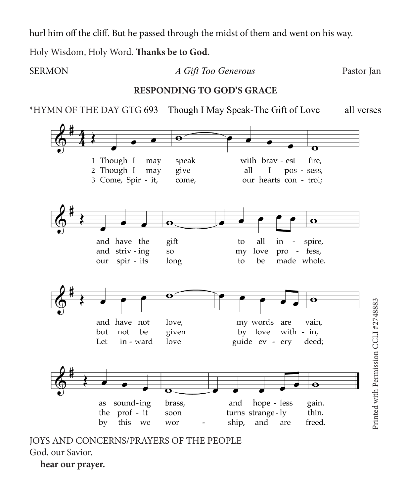hurl him off the cliff. But he passed through the midst of them and went on his way.

Holy Wisdom, Holy Word. **Thanks be to God.**

**hear our prayer.**

SERMON *A Gift Too Generous* Pastor Jan **RESPONDING TO GOD'S GRACE** \*HYMN OF THE DAY GTG 693 Though I May Speak-The Gift of Love all verses $\mathbf \Theta$ 1 Though I may speak with bray - est fire. 2 Though I may give all L pos - sess, 3 Come, Spir - it, come, our hearts con - trol;  $\overline{\mathbf{C}}$ ø gift and have the all to in spire, and striv-ing love pro - fess, SO<sub>1</sub> my our spir - its long to be made whole.  $\overline{\mathbf{o}}$  $\ddot{\mathbf{e}}$ Printed with Permission CCLI #2748883 Printed with Permission CCLI #2748883 and have not love. my words are vain. by love with  $-$  in, but not be given guide ev - ery Let in - ward love deed;  $\mathbf \Theta$ hope - less sound-ing brass, and gain. as turns strange-ly the prof - it thin. soon by this we ship, and are freed. wor JOYS AND CONCERNS/PRAYERS OF THE PEOPLE God, our Savior,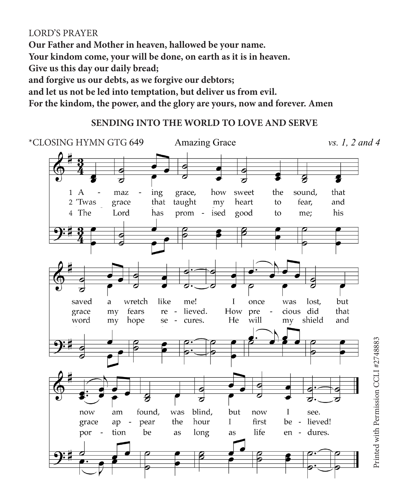### LORD'S PRAYER

**Our Father and Mother in heaven, hallowed be your name. Your kindom come, your will be done, on earth as it is in heaven. Give us this day our daily bread; and forgive us our debts, as we forgive our debtors; and let us not be led into temptation, but deliver us from evil. For the kindom, the power, and the glory are yours, now and forever. Amen**

### **SENDING INTO THE WORLD TO LOVE AND SERVE**

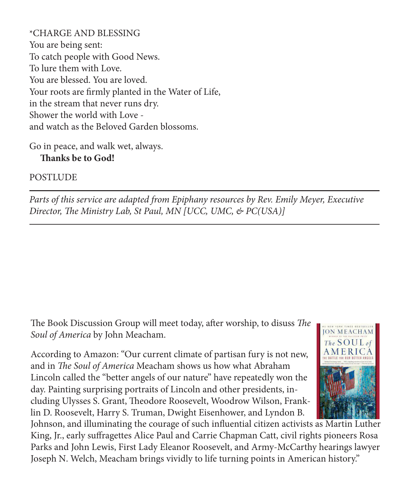\*CHARGE AND BLESSING You are being sent: To catch people with Good News. To lure them with Love. You are blessed. You are loved. Your roots are firmly planted in the Water of Life, in the stream that never runs dry. Shower the world with Love and watch as the Beloved Garden blossoms.

Go in peace, and walk wet, always. **Thanks be to God!**

**POSTLUDE** 

*Parts of this service are adapted from Epiphany resources by Rev. Emily Meyer, Executive Director, The Ministry Lab, St Paul, MN [UCC, UMC, & PC(USA)]*

The Book Discussion Group will meet today, after worship, to disuss *The Soul of America* by John Meacham.

According to Amazon: "Our current climate of partisan fury is not new, and in *The Soul of America* Meacham shows us how what Abraham Lincoln called the "better angels of our nature" have repeatedly won the day. Painting surprising portraits of Lincoln and other presidents, including Ulysses S. Grant, Theodore Roosevelt, Woodrow Wilson, Franklin D. Roosevelt, Harry S. Truman, Dwight Eisenhower, and Lyndon B.



Johnson, and illuminating the courage of such influential citizen activists as Martin Luther King, Jr., early suffragettes Alice Paul and Carrie Chapman Catt, civil rights pioneers Rosa Parks and John Lewis, First Lady Eleanor Roosevelt, and Army-McCarthy hearings lawyer Joseph N. Welch, Meacham brings vividly to life turning points in American history."